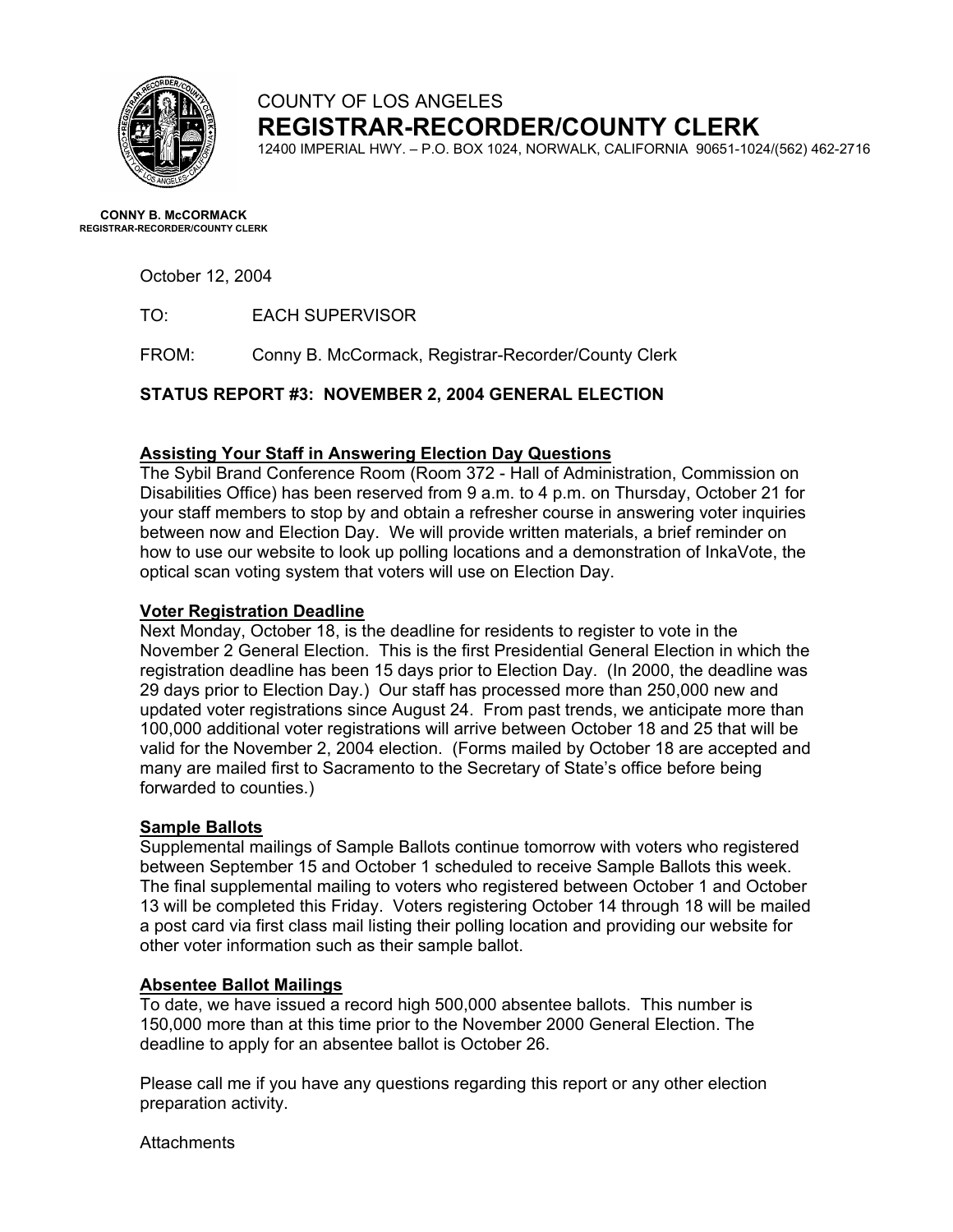

# COUNTY OF LOS ANGELES **REGISTRAR-RECORDER/COUNTY CLERK**

12400 IMPERIAL HWY. – P.O. BOX 1024, NORWALK, CALIFORNIA 90651-1024/(562) 462-2716

**CONNY B. McCORMACK REGISTRAR-RECORDER/COUNTY CLERK** 

October 12, 2004

TO: EACH SUPERVISOR

FROM: Conny B. McCormack, Registrar-Recorder/County Clerk

**STATUS REPORT #3: NOVEMBER 2, 2004 GENERAL ELECTION** 

#### **Assisting Your Staff in Answering Election Day Questions**

The Sybil Brand Conference Room (Room 372 - Hall of Administration, Commission on Disabilities Office) has been reserved from 9 a.m. to 4 p.m. on Thursday, October 21 for your staff members to stop by and obtain a refresher course in answering voter inquiries between now and Election Day. We will provide written materials, a brief reminder on how to use our website to look up polling locations and a demonstration of InkaVote, the optical scan voting system that voters will use on Election Day.

#### **Voter Registration Deadline**

Next Monday, October 18, is the deadline for residents to register to vote in the November 2 General Election. This is the first Presidential General Election in which the registration deadline has been 15 days prior to Election Day. (In 2000, the deadline was 29 days prior to Election Day.) Our staff has processed more than 250,000 new and updated voter registrations since August 24. From past trends, we anticipate more than 100,000 additional voter registrations will arrive between October 18 and 25 that will be valid for the November 2, 2004 election. (Forms mailed by October 18 are accepted and many are mailed first to Sacramento to the Secretary of State's office before being forwarded to counties.)

#### **Sample Ballots**

Supplemental mailings of Sample Ballots continue tomorrow with voters who registered between September 15 and October 1 scheduled to receive Sample Ballots this week. The final supplemental mailing to voters who registered between October 1 and October 13 will be completed this Friday. Voters registering October 14 through 18 will be mailed a post card via first class mail listing their polling location and providing our website for other voter information such as their sample ballot.

#### **Absentee Ballot Mailings**

To date, we have issued a record high 500,000 absentee ballots. This number is 150,000 more than at this time prior to the November 2000 General Election. The deadline to apply for an absentee ballot is October 26.

Please call me if you have any questions regarding this report or any other election preparation activity.

**Attachments**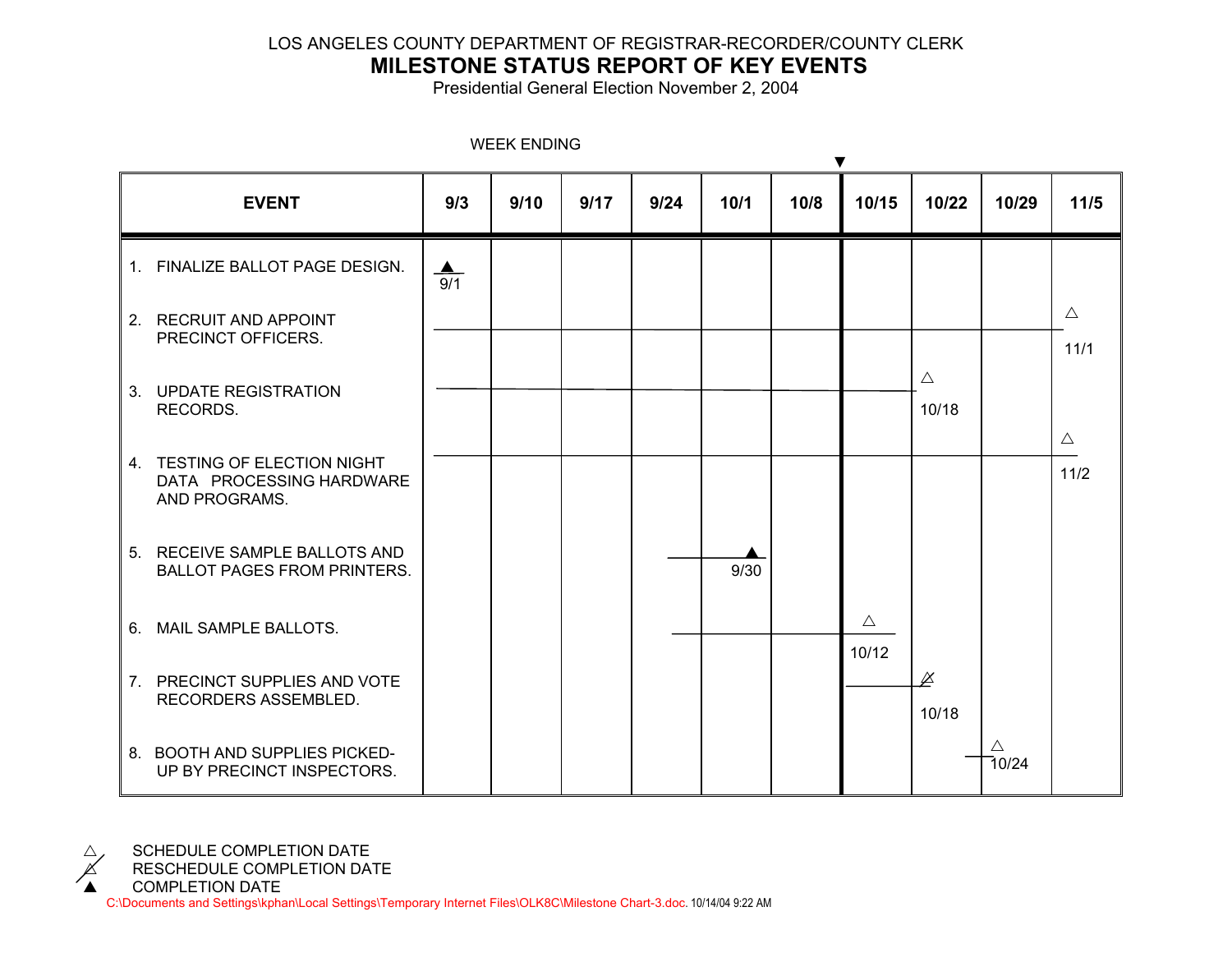### LOS ANGELES COUNTY DEPARTMENT OF REGISTRAR-RECORDER/COUNTY CLERK

## **MILESTONE STATUS REPORT OF KEY EVENTS**

Presidential General Election November 2, 2004

|    | <b>EVENT</b>                                                              | 9/3                     | 9/10 | 9/17 | 9/24 | 10/1 | 10/8 | 10/15       | 10/22                | 10/29                | $11/5$      |
|----|---------------------------------------------------------------------------|-------------------------|------|------|------|------|------|-------------|----------------------|----------------------|-------------|
|    | 1. FINALIZE BALLOT PAGE DESIGN.                                           | $\blacktriangle$<br>9/1 |      |      |      |      |      |             |                      |                      |             |
|    | 2. RECRUIT AND APPOINT<br>PRECINCT OFFICERS.                              |                         |      |      |      |      |      |             |                      |                      | $\triangle$ |
|    |                                                                           |                         |      |      |      |      |      |             |                      |                      | 11/1        |
|    | 3. UPDATE REGISTRATION<br>RECORDS.                                        |                         |      |      |      |      |      |             | $\triangle$<br>10/18 |                      |             |
|    |                                                                           |                         |      |      |      |      |      |             |                      |                      | $\triangle$ |
|    | 4. TESTING OF ELECTION NIGHT<br>DATA PROCESSING HARDWARE<br>AND PROGRAMS. |                         |      |      |      |      |      |             |                      |                      | $11/2$      |
|    | 5. RECEIVE SAMPLE BALLOTS AND                                             |                         |      |      |      |      |      |             |                      |                      |             |
|    | <b>BALLOT PAGES FROM PRINTERS.</b>                                        |                         |      |      |      | 9/30 |      |             |                      |                      |             |
| 6. | MAIL SAMPLE BALLOTS.                                                      |                         |      |      |      |      |      | $\triangle$ |                      |                      |             |
|    |                                                                           |                         |      |      |      |      |      | 10/12       |                      |                      |             |
|    | 7. PRECINCT SUPPLIES AND VOTE<br>RECORDERS ASSEMBLED.                     |                         |      |      |      |      |      |             | 10/18                |                      |             |
|    | 8. BOOTH AND SUPPLIES PICKED-<br>UP BY PRECINCT INSPECTORS.               |                         |      |      |      |      |      |             |                      | $\triangle$<br>70/24 |             |

WEEK ENDING